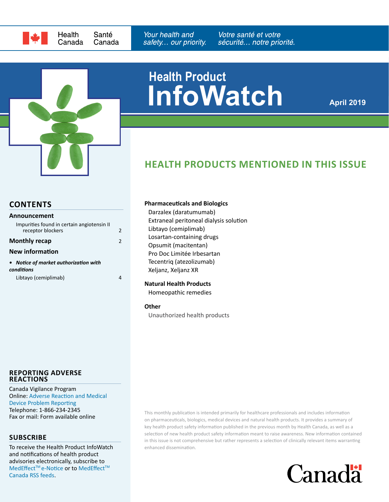



# **InfoWatch Health Product**

**April 2019**

# **HEALTH PRODUCTS MENTIONED IN THIS ISSUE**

## **CONTENTS**

| <b>Announcement</b>                                             |               |
|-----------------------------------------------------------------|---------------|
| Impurities found in certain angiotensin II<br>receptor blockers | $\mathfrak z$ |
| <b>Monthly recap</b>                                            | 2             |
| <b>New information</b>                                          |               |
| • Notice of market authorization with<br>conditions             |               |
| Libtayo (cemiplimab)                                            |               |

#### **REPORTING ADVERSE REACTIONS**

Canada Vigilance Program Online: [Adverse Reaction and Medical](https://www.canada.ca/en/health-canada/services/drugs-health-products/medeffect-canada/adverse-reaction-reporting.html)  [Device Problem Reporting](https://www.canada.ca/en/health-canada/services/drugs-health-products/medeffect-canada/adverse-reaction-reporting.html) Telephone: 1-866-234-2345

### **SUBSCRIBE**

To receive the Health Product InfoWatch and notifications of health product advisories electronically, subscribe to MedEffect™ e-Notice or to MedEffect™ [Canada RSS feeds.](https://www.canada.ca/en/health-canada/services/drugs-health-products/medeffect-canada/stay-informed-medeffect-canada/medeffect-canada-rss-feeds.html)

#### **Pharmaceuticals and Biologics**

Darzalex (daratumumab) Extraneal peritoneal dialysis solution Libtayo (cemiplimab) Losartan-containing drugs Opsumit (macitentan) Pro Doc Limitée Irbesartan Tecentriq (atezolizumab) Xeljanz, Xeljanz XR

#### **Natural Health Products**

Homeopathic remedies

#### **Other**

Unauthorized health products

Fax or mail: Form available online This monthly publication is intended primarily for healthcare professionals and includes information Fax or mail: Form available online on pharmaceuticals, biologics, medical devices and natural health products. It provides a summary of key health product safety information published in the previous month by Health Canada, as well as a selection of new health product safety information meant to raise awareness. New information contained in this issue is not comprehensive but rather represents a selection of clinically relevant items warranting enhanced dissemination.

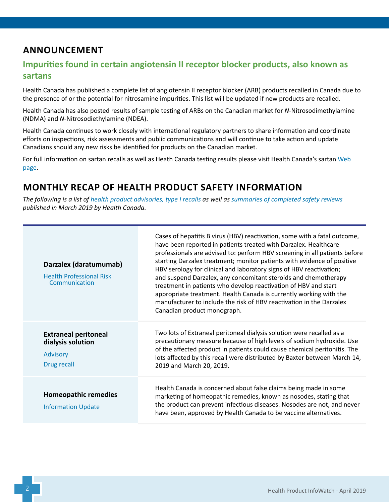# <span id="page-1-0"></span>**ANNOUNCEMENT**

## **Impurities found in certain angiotensin II receptor blocker products, also known as sartans**

Health Canada has published a complete list of angiotensin II receptor blocker (ARB) products recalled in Canada due to the presence of or the potential for nitrosamine impurities. This list will be updated if new products are recalled.

Health Canada has also posted results of sample testing of ARBs on the Canadian market for *N*-Nitrosodimethylamine (NDMA) and *N*-Nitrosodiethylamine (NDEA).

Health Canada continues to work closely with international regulatory partners to share information and coordinate efforts on inspections, risk assessments and public communications and will continue to take action and update Canadians should any new risks be identified for products on the Canadian market.

For full information on sartan recalls as well as Heath Canada testing results please visit Health Canada's sartan [Web](https://www.canada.ca/en/health-canada/services/drugs-health-products/compliance-enforcement/information-health-product/drugs/angiotensin-receptor-blocker.html)  [page](https://www.canada.ca/en/health-canada/services/drugs-health-products/compliance-enforcement/information-health-product/drugs/angiotensin-receptor-blocker.html).

# **MONTHLY RECAP OF HEALTH PRODUCT SAFETY INFORMATION**

*The following is a list of [health product advisories, type I recalls](http://www.healthycanadians.gc.ca/recall-alert-rappel-avis/index-eng.php?cat=3) as well as [summaries of completed safety reviews](https://hpr-rps.hres.ca/reg-content/resume-examen-innocuite.php?lang=en) published in March 2019 by Health Canada.*

| Darzalex (daratumumab)<br><b>Health Professional Risk</b><br>Communication         | Cases of hepatitis B virus (HBV) reactivation, some with a fatal outcome,<br>have been reported in patients treated with Darzalex. Healthcare<br>professionals are advised to: perform HBV screening in all patients before<br>starting Darzalex treatment; monitor patients with evidence of positive<br>HBV serology for clinical and laboratory signs of HBV reactivation;<br>and suspend Darzalex, any concomitant steroids and chemotherapy<br>treatment in patients who develop reactivation of HBV and start<br>appropriate treatment. Health Canada is currently working with the<br>manufacturer to include the risk of HBV reactivation in the Darzalex<br>Canadian product monograph. |
|------------------------------------------------------------------------------------|--------------------------------------------------------------------------------------------------------------------------------------------------------------------------------------------------------------------------------------------------------------------------------------------------------------------------------------------------------------------------------------------------------------------------------------------------------------------------------------------------------------------------------------------------------------------------------------------------------------------------------------------------------------------------------------------------|
| <b>Extraneal peritoneal</b><br>dialysis solution<br><b>Advisory</b><br>Drug recall | Two lots of Extraneal peritoneal dialysis solution were recalled as a<br>precautionary measure because of high levels of sodium hydroxide. Use<br>of the affected product in patients could cause chemical peritonitis. The<br>lots affected by this recall were distributed by Baxter between March 14,<br>2019 and March 20, 2019.                                                                                                                                                                                                                                                                                                                                                             |
| <b>Homeopathic remedies</b><br><b>Information Update</b>                           | Health Canada is concerned about false claims being made in some<br>marketing of homeopathic remedies, known as nosodes, stating that<br>the product can prevent infectious diseases. Nosodes are not, and never<br>have been, approved by Health Canada to be vaccine alternatives.                                                                                                                                                                                                                                                                                                                                                                                                             |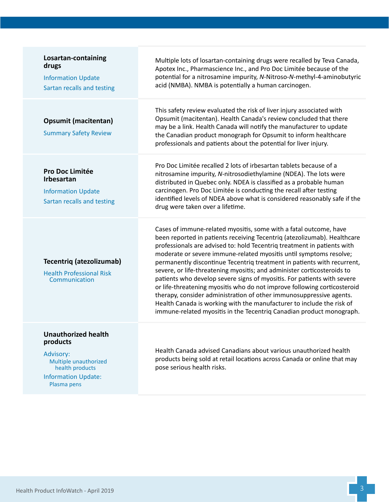| Losartan-containing<br>drugs<br><b>Information Update</b><br>Sartan recalls and testing                                                      | Multiple lots of losartan-containing drugs were recalled by Teva Canada,<br>Apotex Inc., Pharmascience Inc., and Pro Doc Limitée because of the<br>potential for a nitrosamine impurity, N-Nitroso-N-methyl-4-aminobutyric<br>acid (NMBA). NMBA is potentially a human carcinogen.                                                                                                                                                                                                                                                                                                                                                                                                                                                                                                                                                  |
|----------------------------------------------------------------------------------------------------------------------------------------------|-------------------------------------------------------------------------------------------------------------------------------------------------------------------------------------------------------------------------------------------------------------------------------------------------------------------------------------------------------------------------------------------------------------------------------------------------------------------------------------------------------------------------------------------------------------------------------------------------------------------------------------------------------------------------------------------------------------------------------------------------------------------------------------------------------------------------------------|
| <b>Opsumit (macitentan)</b><br><b>Summary Safety Review</b>                                                                                  | This safety review evaluated the risk of liver injury associated with<br>Opsumit (macitentan). Health Canada's review concluded that there<br>may be a link. Health Canada will notify the manufacturer to update<br>the Canadian product monograph for Opsumit to inform healthcare<br>professionals and patients about the potential for liver injury.                                                                                                                                                                                                                                                                                                                                                                                                                                                                            |
| Pro Doc Limitée<br><b>Irbesartan</b><br><b>Information Update</b><br>Sartan recalls and testing                                              | Pro Doc Limitée recalled 2 lots of irbesartan tablets because of a<br>nitrosamine impurity, N-nitrosodiethylamine (NDEA). The lots were<br>distributed in Quebec only. NDEA is classified as a probable human<br>carcinogen. Pro Doc Limitée is conducting the recall after testing<br>identified levels of NDEA above what is considered reasonably safe if the<br>drug were taken over a lifetime.                                                                                                                                                                                                                                                                                                                                                                                                                                |
| Tecentriq (atezolizumab)<br><b>Health Professional Risk</b><br>Communication                                                                 | Cases of immune-related myositis, some with a fatal outcome, have<br>been reported in patients receiving Tecentriq (atezolizumab). Healthcare<br>professionals are advised to: hold Tecentriq treatment in patients with<br>moderate or severe immune-related myositis until symptoms resolve;<br>permanently discontinue Tecentriq treatment in patients with recurrent,<br>severe, or life-threatening myositis; and administer corticosteroids to<br>patients who develop severe signs of myositis. For patients with severe<br>or life-threatening myositis who do not improve following corticosteroid<br>therapy, consider administration of other immunosuppressive agents.<br>Health Canada is working with the manufacturer to include the risk of<br>immune-related myositis in the Tecentriq Canadian product monograph. |
| <b>Unauthorized health</b><br>products<br>Advisory:<br>Multiple unauthorized<br>health products<br><b>Information Update:</b><br>Plasma pens | Health Canada advised Canadians about various unauthorized health<br>products being sold at retail locations across Canada or online that may<br>pose serious health risks.                                                                                                                                                                                                                                                                                                                                                                                                                                                                                                                                                                                                                                                         |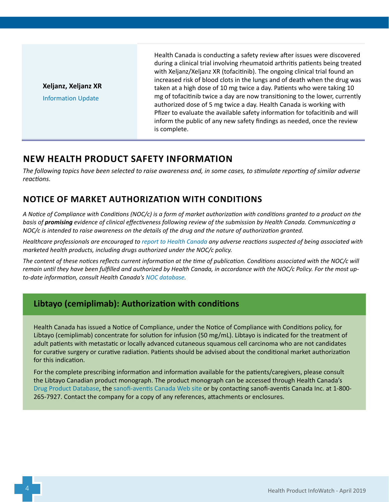<span id="page-3-0"></span>**Xeljanz, Xeljanz XR**

[Information Update](http://healthycanadians.gc.ca/recall-alert-rappel-avis/hc-sc/2019/69336a-eng.php)

Health Canada is conducting a safety review after issues were discovered during a clinical trial involving rheumatoid arthritis patients being treated with Xeljanz/Xeljanz XR (tofacitinib). The ongoing clinical trial found an increased risk of blood clots in the lungs and of death when the drug was taken at a high dose of 10 mg twice a day. Patients who were taking 10 mg of tofacitinib twice a day are now transitioning to the lower, currently authorized dose of 5 mg twice a day. Health Canada is working with Pfizer to evaluate the available safety information for tofacitinib and will inform the public of any new safety findings as needed, once the review is complete.

# **NEW HEALTH PRODUCT SAFETY INFORMATION**

*The following topics have been selected to raise awareness and, in some cases, to stimulate reporting of similar adverse reactions.*

# **NOTICE OF MARKET AUTHORIZATION WITH CONDITIONS**

*A Notice of Compliance with Conditions (NOC/c) is a form of market authorization with conditions granted to a product on the basis of promising evidence of clinical effectiveness following review of the submission by Health Canada. Communicating a NOC/c is intended to raise awareness on the details of the drug and the nature of authorization granted.*

*Healthcare professionals are encouraged to [report to Health Canada](https://www.canada.ca/en/health-canada/services/drugs-health-products/medeffect-canada/adverse-reaction-reporting.html) any adverse reactions suspected of being associated with marketed health products, including drugs authorized under the NOC/c policy.*

*The content of these notices reflects current information at the time of publication. Conditions associated with the NOC/c will remain until they have been fulfilled and authorized by Health Canada, in accordance with the NOC/c Policy. For the most upto-date information, consult Health Canada's [NOC database](https://health-products.canada.ca/noc-ac/).*

## **Libtayo (cemiplimab): Authorization with conditions**

Health Canada has issued a Notice of Compliance, under the Notice of Compliance with Conditions policy, for Libtayo (cemiplimab) concentrate for solution for infusion (50 mg/mL). Libtayo is indicated for the treatment of adult patients with metastatic or locally advanced cutaneous squamous cell carcinoma who are not candidates for curative surgery or curative radiation. Patients should be advised about the conditional market authorization for this indication.

For the complete prescribing information and information available for the patients/caregivers, please consult the Libtayo Canadian product monograph. The product monograph can be accessed through Health Canada's [Drug Product Database](https://health-products.canada.ca/dpd-bdpp/index-eng.jsp), the [sanofi-aventis Canada](https://www.sanofi.ca/) [Web site](https://www.sanofi.ca/) or by contacting sanofi-aventis Canada Inc. at 1-800- 265-7927. Contact the company for a copy of any references, attachments or enclosures.